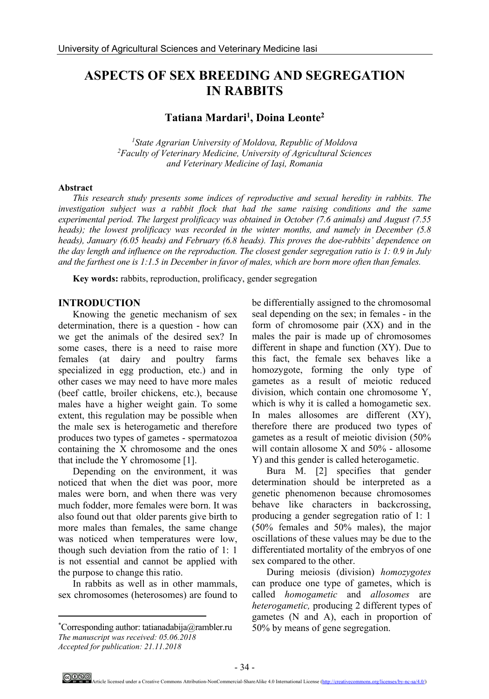# **ASPECTS OF SEX BREEDING AND SEGREGATION IN RABBITS**

# **Tatiana Mardari1 , Doina Leonte2**

*1State Agrarian University of Moldova, Republic of Moldova 2Faculty of Veterinary Medicine, University of Agricultural Sciences and Veterinary Medicine of Iaşi, Romania*

#### **Abstract**

*This research study presents some indices of reproductive and sexual heredity in rabbits. The investigation subject was a rabbit flock that had the same raising conditions and the same experimental period. The largest prolificacy was obtained in October (7.6 animals) and August (7.55 heads); the lowest prolificacy was recorded in the winter months, and namely in December (5.8 heads), January (6.05 heads) and February (6.8 heads). This proves the doe-rabbits' dependence on the day length and influence on the reproduction. The closest gender segregation ratio is 1: 0.9 in July and the farthest one is 1:1.5 in December in favor of males, which are born more often than females.* 

**Key words:** rabbits, reproduction, prolificacy, gender segregation

### **INTRODUCTION**

Knowing the genetic mechanism of sex determination, there is a question - how can we get the animals of the desired sex? In some cases, there is a need to raise more females (at dairy and poultry farms specialized in egg production, etc.) and in other cases we may need to have more males (beef cattle, broiler chickens, etc.), because males have a higher weight gain. To some extent, this regulation may be possible when the male sex is heterogametic and therefore produces two types of gametes - spermatozoa containing the X chromosome and the ones that include the Y chromosome [1].

Depending on the environment, it was noticed that when the diet was poor, more males were born, and when there was very much fodder, more females were born. It was also found out that older parents give birth to more males than females, the same change was noticed when temperatures were low, though such deviation from the ratio of 1: 1 is not essential and cannot be applied with the purpose to change this ratio.

In rabbits as well as in other mammals, sex chromosomes (heterosomes) are found to

 $\overline{a}$ 

be differentially assigned to the chromosomal seal depending on the sex; in females - in the form of chromosome pair (XX) and in the males the pair is made up of chromosomes different in shape and function (XY). Due to this fact, the female sex behaves like a homozygote, forming the only type of gametes as a result of meiotic reduced division, which contain one chromosome Y, which is why it is called a homogametic sex. In males allosomes are different (XY), therefore there are produced two types of gametes as a result of meiotic division (50% will contain allosome X and 50% - allosome Y) and this gender is called heterogametic.

Bura M. [2] specifies that gender determination should be interpreted as a genetic phenomenon because chromosomes behave like characters in backcrossing, producing a gender segregation ratio of 1: 1 (50% females and 50% males), the major oscillations of these values may be due to the differentiated mortality of the embryos of one sex compared to the other.

During meiosis (division) *homozygotes* can produce one type of gametes, which is called *homogametic* and *allosomes* are *heterogametic,* producing 2 different types of gametes (N and A), each in proportion of 50% by means of gene segregation.

<sup>\*</sup> Corresponding author: tatianadabija@rambler.ru *The manuscript was received: 05.06.2018 Accepted for publication: 21.11.2018*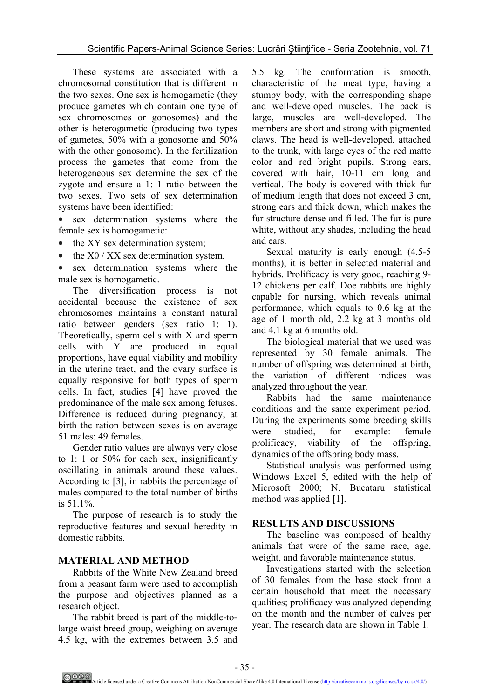These systems are associated with a chromosomal constitution that is different in the two sexes. One sex is homogametic (they produce gametes which contain one type of sex chromosomes or gonosomes) and the other is heterogametic (producing two types of gametes, 50% with a gonosome and 50% with the other gonosome). In the fertilization process the gametes that come from the heterogeneous sex determine the sex of the zygote and ensure a 1: 1 ratio between the two sexes. Two sets of sex determination systems have been identified:

- sex determination systems where the female sex is homogametic:
- the XY sex determination system;
- the  $X0 / XX$  sex determination system.

sex determination systems where the male sex is homogametic.

The diversification process is not accidental because the existence of sex chromosomes maintains a constant natural ratio between genders (sex ratio 1: 1). Theoretically, sperm cells with X and sperm cells with Y are produced in equal proportions, have equal viability and mobility in the uterine tract, and the ovary surface is equally responsive for both types of sperm cells. In fact, studies [4] have proved the predominance of the male sex among fetuses. Difference is reduced during pregnancy, at birth the ration between sexes is on average 51 males: 49 females.

Gender ratio values are always very close to 1: 1 or 50% for each sex, insignificantly oscillating in animals around these values. According to [3], in rabbits the percentage of males compared to the total number of births is 51.1%.

The purpose of research is to study the reproductive features and sexual heredity in domestic rabbits.

# **MATERIAL AND METHOD**

Rabbits of the White New Zealand breed from a peasant farm were used to accomplish the purpose and objectives planned as a research object.

The rabbit breed is part of the middle-tolarge waist breed group, weighing on average 4.5 kg, with the extremes between 3.5 and

5.5 kg. The conformation is smooth, characteristic of the meat type, having a stumpy body, with the corresponding shape and well-developed muscles. The back is large, muscles are well-developed. The members are short and strong with pigmented claws. The head is well-developed, attached to the trunk, with large eyes of the red matte color and red bright pupils. Strong ears, covered with hair, 10-11 cm long and vertical. The body is covered with thick fur of medium length that does not exceed 3 cm, strong ears and thick down, which makes the fur structure dense and filled. The fur is pure white, without any shades, including the head and ears.

Sexual maturity is early enough (4.5-5 months), it is better in selected material and hybrids. Prolificacy is very good, reaching 9- 12 chickens per calf. Doe rabbits are highly capable for nursing, which reveals animal performance, which equals to 0.6 kg at the age of 1 month old, 2.2 kg at 3 months old and 4.1 kg at 6 months old.

The biological material that we used was represented by 30 female animals. The number of offspring was determined at birth, the variation of different indices was analyzed throughout the year.

Rabbits had the same maintenance conditions and the same experiment period. During the experiments some breeding skills were studied, for example: female prolificacy, viability of the offspring, dynamics of the offspring body mass.

Statistical analysis was performed using Windows Excel 5, edited with the help of Microsoft 2000; N. Bucataru statistical method was applied [1].

# **RESULTS AND DISCUSSIONS**

The baseline was composed of healthy animals that were of the same race, age, weight, and favorable maintenance status.

Investigations started with the selection of 30 females from the base stock from a certain household that meet the necessary qualities; prolificacy was analyzed depending on the month and the number of calves per year. The research data are shown in Table 1.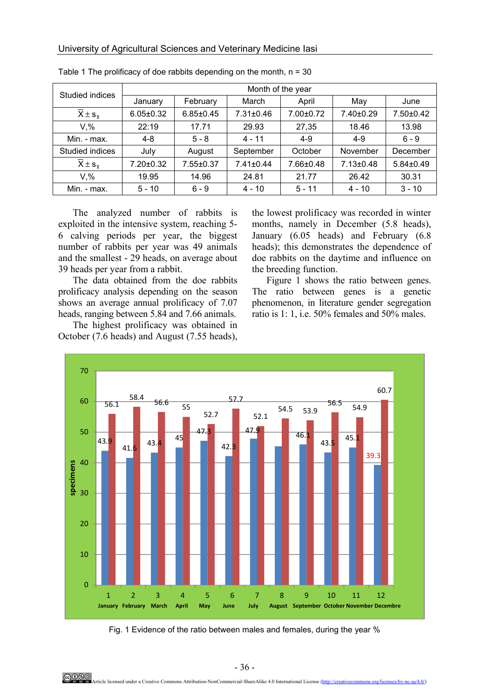| Studied indices                     | Month of the year |                 |                 |           |                 |                 |
|-------------------------------------|-------------------|-----------------|-----------------|-----------|-----------------|-----------------|
|                                     | January           | February        | March           | April     | May             | June            |
| $\overline{X} \pm s_{\overline{x}}$ | $6.05 \pm 0.32$   | $6.85 \pm 0.45$ | 7.31±0.46       | 7.00±0.72 | 7.40±0.29       | 7.50±0.42       |
| $V.$ %                              | 22:19             | 17.71           | 29.93           | 27,35     | 18.46           | 13.98           |
| Min. - max.                         | $4 - 8$           | $5 - 8$         | $4 - 11$        | $4 - 9$   | $4 - 9$         | $6 - 9$         |
| Studied indices                     | July              | August          | September       | October   | November        | December        |
| $\overline{X} \pm s_{\overline{y}}$ | 7.20±0.32         | 7.55±0.37       | $7.41 \pm 0.44$ | 7.66±0.48 | $7.13 \pm 0.48$ | $5.84 \pm 0.49$ |
| $V.$ %                              | 19.95             | 14.96           | 24.81           | 21.77     | 26.42           | 30.31           |
| Min. - max.                         | $5 - 10$          | $6 - 9$         | $4 - 10$        | $5 - 11$  | $4 - 10$        | $3 - 10$        |

Table 1 The prolificacy of doe rabbits depending on the month,  $n = 30$ 

The analyzed number of rabbits is exploited in the intensive system, reaching 5- 6 calving periods per year, the biggest number of rabbits per year was 49 animals and the smallest - 29 heads, on average about 39 heads per year from a rabbit.

The data obtained from the doe rabbits prolificacy analysis depending on the season shows an average annual prolificacy of 7.07 heads, ranging between 5.84 and 7.66 animals.

The highest prolificacy was obtained in October (7.6 heads) and August (7.55 heads),

the lowest prolificacy was recorded in winter months, namely in December (5.8 heads), January (6.05 heads) and February (6.8 heads); this demonstrates the dependence of doe rabbits on the daytime and influence on the breeding function.

Figure 1 shows the ratio between genes. The ratio between genes is a genetic phenomenon, in literature gender segregation ratio is 1: 1, i.e. 50% females and 50% males.



Fig. 1 Evidence of the ratio between males and females, during the year %